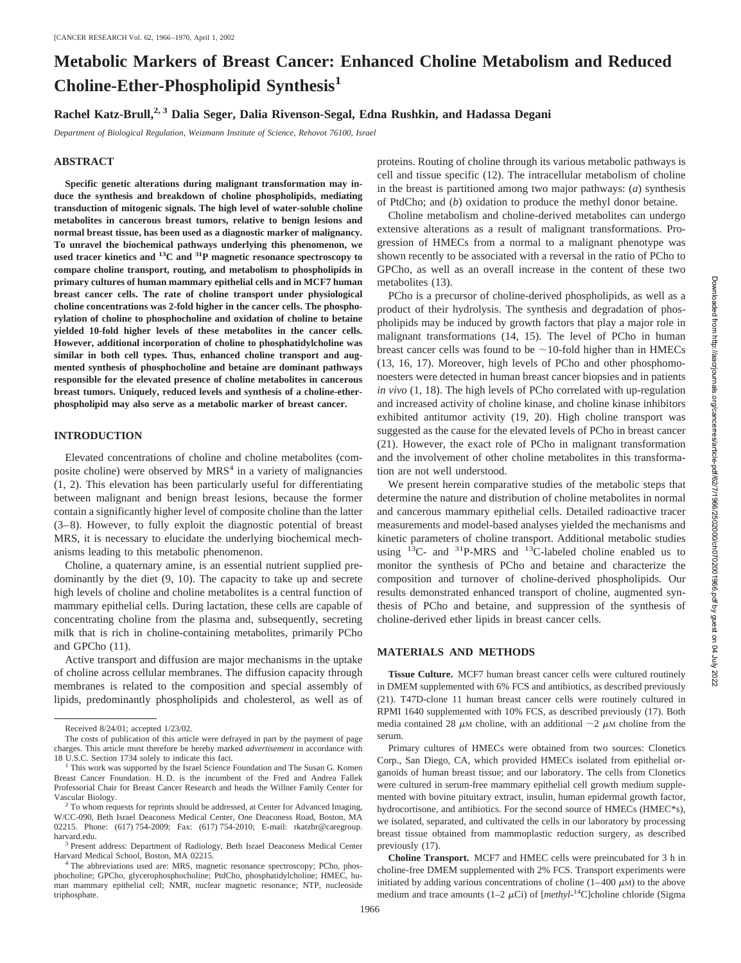# **Metabolic Markers of Breast Cancer: Enhanced Choline Metabolism and Reduced Choline-Ether-Phospholipid Synthesis<sup>1</sup>**

# **Rachel Katz-Brull,2, 3 Dalia Seger, Dalia Rivenson-Segal, Edna Rushkin, and Hadassa Degani**

*Department of Biological Regulation, Weizmann Institute of Science, Rehovot 76100, Israel*

# **ABSTRACT**

**Specific genetic alterations during malignant transformation may induce the synthesis and breakdown of choline phospholipids, mediating transduction of mitogenic signals. The high level of water-soluble choline metabolites in cancerous breast tumors, relative to benign lesions and normal breast tissue, has been used as a diagnostic marker of malignancy. To unravel the biochemical pathways underlying this phenomenon, we used tracer kinetics and 13C and 31P magnetic resonance spectroscopy to compare choline transport, routing, and metabolism to phospholipids in primary cultures of human mammary epithelial cells and in MCF7 human breast cancer cells. The rate of choline transport under physiological choline concentrations was 2-fold higher in the cancer cells. The phosphorylation of choline to phosphocholine and oxidation of choline to betaine yielded 10-fold higher levels of these metabolites in the cancer cells. However, additional incorporation of choline to phosphatidylcholine was similar in both cell types. Thus, enhanced choline transport and augmented synthesis of phosphocholine and betaine are dominant pathways responsible for the elevated presence of choline metabolites in cancerous breast tumors. Uniquely, reduced levels and synthesis of a choline-etherphospholipid may also serve as a metabolic marker of breast cancer.**

# **INTRODUCTION**

Elevated concentrations of choline and choline metabolites (composite choline) were observed by  $MRS<sup>4</sup>$  in a variety of malignancies (1, 2). This elevation has been particularly useful for differentiating between malignant and benign breast lesions, because the former contain a significantly higher level of composite choline than the latter (3–8). However, to fully exploit the diagnostic potential of breast MRS, it is necessary to elucidate the underlying biochemical mechanisms leading to this metabolic phenomenon.

Choline, a quaternary amine, is an essential nutrient supplied predominantly by the diet (9, 10). The capacity to take up and secrete high levels of choline and choline metabolites is a central function of mammary epithelial cells. During lactation, these cells are capable of concentrating choline from the plasma and, subsequently, secreting milk that is rich in choline-containing metabolites, primarily PCho and GPCho (11).

Active transport and diffusion are major mechanisms in the uptake of choline across cellular membranes. The diffusion capacity through membranes is related to the composition and special assembly of lipids, predominantly phospholipids and cholesterol, as well as of proteins. Routing of choline through its various metabolic pathways is cell and tissue specific (12). The intracellular metabolism of choline in the breast is partitioned among two major pathways: (*a*) synthesis of PtdCho; and (*b*) oxidation to produce the methyl donor betaine.

Choline metabolism and choline-derived metabolites can undergo extensive alterations as a result of malignant transformations. Progression of HMECs from a normal to a malignant phenotype was shown recently to be associated with a reversal in the ratio of PCho to GPCho, as well as an overall increase in the content of these two metabolites (13).

PCho is a precursor of choline-derived phospholipids, as well as a product of their hydrolysis. The synthesis and degradation of phospholipids may be induced by growth factors that play a major role in malignant transformations (14, 15). The level of PCho in human breast cancer cells was found to be  $\sim$  10-fold higher than in HMECs (13, 16, 17). Moreover, high levels of PCho and other phosphomonoesters were detected in human breast cancer biopsies and in patients *in vivo* (1, 18). The high levels of PCho correlated with up-regulation and increased activity of choline kinase, and choline kinase inhibitors exhibited antitumor activity (19, 20). High choline transport was suggested as the cause for the elevated levels of PCho in breast cancer (21). However, the exact role of PCho in malignant transformation and the involvement of other choline metabolites in this transformation are not well understood.

We present herein comparative studies of the metabolic steps that determine the nature and distribution of choline metabolites in normal and cancerous mammary epithelial cells. Detailed radioactive tracer measurements and model-based analyses yielded the mechanisms and kinetic parameters of choline transport. Additional metabolic studies using  $^{13}$ C- and  $^{31}$ P-MRS and  $^{13}$ C-labeled choline enabled us to monitor the synthesis of PCho and betaine and characterize the composition and turnover of choline-derived phospholipids. Our results demonstrated enhanced transport of choline, augmented synthesis of PCho and betaine, and suppression of the synthesis of choline-derived ether lipids in breast cancer cells.

### **MATERIALS AND METHODS**

**Tissue Culture.** MCF7 human breast cancer cells were cultured routinely in DMEM supplemented with 6% FCS and antibiotics, as described previously (21). T47D-clone 11 human breast cancer cells were routinely cultured in RPMI 1640 supplemented with 10% FCS, as described previously (17). Both media contained 28  $\mu$ M choline, with an additional  $\sim$ 2  $\mu$ M choline from the serum.

Primary cultures of HMECs were obtained from two sources: Clonetics Corp., San Diego, CA, which provided HMECs isolated from epithelial organoids of human breast tissue; and our laboratory. The cells from Clonetics were cultured in serum-free mammary epithelial cell growth medium supplemented with bovine pituitary extract, insulin, human epidermal growth factor, hydrocortisone, and antibiotics. For the second source of HMECs (HMEC\*s), we isolated, separated, and cultivated the cells in our laboratory by processing breast tissue obtained from mammoplastic reduction surgery, as described previously (17).

**Choline Transport.** MCF7 and HMEC cells were preincubated for 3 h in choline-free DMEM supplemented with 2% FCS. Transport experiments were initiated by adding various concentrations of choline  $(1-400 \mu M)$  to the above medium and trace amounts  $(1-2 \mu \text{Ci})$  of  $[methyl^{-14}C]$ choline chloride (Sigma

Received 8/24/01; accepted 1/23/02.

The costs of publication of this article were defrayed in part by the payment of page charges. This article must therefore be hereby marked *advertisement* in accordance with

<sup>&</sup>lt;sup>1</sup> This work was supported by the Israel Science Foundation and The Susan G. Komen Breast Cancer Foundation. H. D. is the incumbent of the Fred and Andrea Fallek Professorial Chair for Breast Cancer Research and heads the Willner Family Center for Vascular Biology.<br><sup>2</sup> To whom requests for reprints should be addressed, at Center for Advanced Imaging,

W/CC-090, Beth Israel Deaconess Medical Center, One Deaconess Road, Boston, MA 02215. Phone: (617) 754-2009; Fax: (617) 754-2010; E-mail: rkatzbr@caregroup.<br>harvard.edu.

 $^3$  Present address: Department of Radiology, Beth Israel Deaconess Medical Center Harvard Medical School, Boston, MA 02215.

<sup>&</sup>lt;sup>4</sup> The abbreviations used are: MRS, magnetic resonance spectroscopy; PCho, phosphocholine; GPCho, glycerophosphocholine; PtdCho, phosphatidylcholine; HMEC, human mammary epithelial cell; NMR, nuclear magnetic resonance; NTP, nucleoside triphosphate.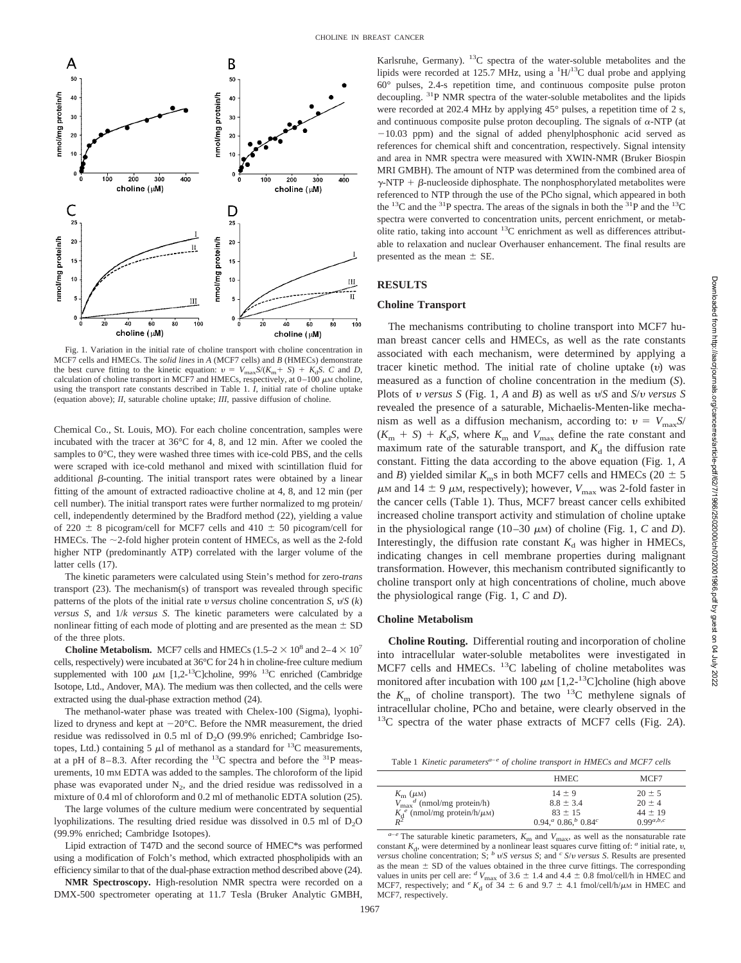

Fig. 1. Variation in the initial rate of choline transport with choline concentration in MCF7 cells and HMECs. The *solid lines* in *A* (MCF7 cells) and *B* (HMECs) demonstrate the best curve fitting to the kinetic equation:  $v = V_{\text{max}}S/(K_m + S) + K_dS$ . *C* and *D*, calculation of choline transport in MCF7 and HMECs, respectively, at  $0-100 \mu$ M choline, using the transport rate constants described in Table 1. *I*, initial rate of choline uptake (equation above); *II*, saturable choline uptake; *III*, passive diffusion of choline.

Chemical Co., St. Louis, MO). For each choline concentration, samples were incubated with the tracer at 36°C for 4, 8, and 12 min. After we cooled the samples to 0°C, they were washed three times with ice-cold PBS, and the cells were scraped with ice-cold methanol and mixed with scintillation fluid for additional  $\beta$ -counting. The initial transport rates were obtained by a linear fitting of the amount of extracted radioactive choline at 4, 8, and 12 min (per cell number). The initial transport rates were further normalized to mg protein/ cell, independently determined by the Bradford method (22), yielding a value of 220  $\pm$  8 picogram/cell for MCF7 cells and 410  $\pm$  50 picogram/cell for HMECs. The  $\sim$ 2-fold higher protein content of HMECs, as well as the 2-fold higher NTP (predominantly ATP) correlated with the larger volume of the latter cells (17).

The kinetic parameters were calculated using Stein's method for zero-*trans* transport (23). The mechanism(s) of transport was revealed through specific patterns of the plots of the initial rate  $v$  *versus* choline concentration  $S$ ,  $v/S$  ( $k$ ) *versus S*, and 1/*k versus S*. The kinetic parameters were calculated by a nonlinear fitting of each mode of plotting and are presented as the mean  $\pm$  SD of the three plots.

**Choline Metabolism.** MCF7 cells and HMECs (1.5–2  $\times$  10<sup>8</sup> and 2–4  $\times$  10<sup>7</sup> cells, respectively) were incubated at 36°C for 24 h in choline-free culture medium supplemented with 100  $\mu$ M [1,2-<sup>13</sup>C]choline, 99% <sup>13</sup>C enriched (Cambridge Isotope, Ltd., Andover, MA). The medium was then collected, and the cells were extracted using the dual-phase extraction method (24).

The methanol-water phase was treated with Chelex-100 (Sigma), lyophilized to dryness and kept at  $-20^{\circ}$ C. Before the NMR measurement, the dried residue was redissolved in 0.5 ml of  $D_2O$  (99.9% enriched; Cambridge Isotopes, Ltd.) containing 5  $\mu$ l of methanol as a standard for <sup>13</sup>C measurements, at a pH of 8–8.3. After recording the  $^{13}$ C spectra and before the  $^{31}$ P measurements, 10 mM EDTA was added to the samples. The chloroform of the lipid phase was evaporated under  $N_2$ , and the dried residue was redissolved in a mixture of 0.4 ml of chloroform and 0.2 ml of methanolic EDTA solution (25).

The large volumes of the culture medium were concentrated by sequential lyophilizations. The resulting dried residue was dissolved in 0.5 ml of  $D_2O$ (99.9% enriched; Cambridge Isotopes).

Lipid extraction of T47D and the second source of HMEC\*s was performed using a modification of Folch's method, which extracted phospholipids with an efficiency similar to that of the dual-phase extraction method described above (24).

**NMR Spectroscopy.** High-resolution NMR spectra were recorded on a DMX-500 spectrometer operating at 11.7 Tesla (Bruker Analytic GMBH,

Karlsruhe, Germany).  $^{13}$ C spectra of the water-soluble metabolites and the lipids were recorded at 125.7 MHz, using a  $\rm{^{1}H/^{13}C}$  dual probe and applying 60° pulses, 2.4-s repetition time, and continuous composite pulse proton decoupling. 31P NMR spectra of the water-soluble metabolites and the lipids were recorded at 202.4 MHz by applying 45° pulses, a repetition time of 2 s, and continuous composite pulse proton decoupling. The signals of  $\alpha$ -NTP (at  $-10.03$  ppm) and the signal of added phenylphosphonic acid served as references for chemical shift and concentration, respectively. Signal intensity and area in NMR spectra were measured with XWIN-NMR (Bruker Biospin MRI GMBH). The amount of NTP was determined from the combined area of  $\gamma$ -NTP +  $\beta$ -nucleoside diphosphate. The nonphosphorylated metabolites were referenced to NTP through the use of the PCho signal, which appeared in both the  $^{13}$ C and the  $^{31}$ P spectra. The areas of the signals in both the  $^{31}$ P and the  $^{13}$ C spectra were converted to concentration units, percent enrichment, or metabolite ratio, taking into account  $^{13}$ C enrichment as well as differences attributable to relaxation and nuclear Overhauser enhancement. The final results are presented as the mean  $\pm$  SE.

### **RESULTS**

# **Choline Transport**

The mechanisms contributing to choline transport into MCF7 human breast cancer cells and HMECs, as well as the rate constants associated with each mechanism, were determined by applying a tracer kinetic method. The initial rate of choline uptake  $(v)$  was measured as a function of choline concentration in the medium (*S*). Plots of *v* versus *S* (Fig. 1, *A* and *B*) as well as  $v/S$  and  $S/v$  versus *S* revealed the presence of a saturable, Michaelis-Menten-like mechanism as well as a diffusion mechanism, according to:  $v = V_{\text{max}} S$  $(K<sub>m</sub> + S) + K<sub>d</sub>S$ , where  $K<sub>m</sub>$  and  $V<sub>max</sub>$  define the rate constant and maximum rate of the saturable transport, and  $K_d$  the diffusion rate constant. Fitting the data according to the above equation (Fig. 1, *A* and *B*) yielded similar  $K_{\text{m}}$ s in both MCF7 cells and HMECs (20  $\pm$  5  $\mu$ <sub>M</sub> and 14  $\pm$  9  $\mu$ <sub>M</sub>, respectively); however,  $V_{\text{max}}$  was 2-fold faster in the cancer cells (Table 1). Thus, MCF7 breast cancer cells exhibited increased choline transport activity and stimulation of choline uptake in the physiological range (10–30  $\mu$ M) of choline (Fig. 1, *C* and *D*). Interestingly, the diffusion rate constant  $K_d$  was higher in HMECs, indicating changes in cell membrane properties during malignant transformation. However, this mechanism contributed significantly to choline transport only at high concentrations of choline, much above the physiological range (Fig. 1, *C* and *D*).

### **Choline Metabolism**

**Choline Routing.** Differential routing and incorporation of choline into intracellular water-soluble metabolites were investigated in MCF7 cells and HMECs. <sup>13</sup>C labeling of choline metabolites was monitored after incubation with 100  $\mu$ M [1,2-<sup>13</sup>C]choline (high above the  $K<sub>m</sub>$  of choline transport). The two <sup>13</sup>C methylene signals of intracellular choline, PCho and betaine, were clearly observed in the 13C spectra of the water phase extracts of MCF7 cells (Fig. 2*A*).

|  |  | Table 1 Kinetic parameters <sup><math>a-e</math></sup> of choline transport in HMECs and MCF7 cells |  |  |  |  |  |  |  |
|--|--|-----------------------------------------------------------------------------------------------------|--|--|--|--|--|--|--|
|--|--|-----------------------------------------------------------------------------------------------------|--|--|--|--|--|--|--|

|                                               | <b>HMEC</b>               | MCF7           |
|-----------------------------------------------|---------------------------|----------------|
| $K_{\rm m}$ ( $\mu$ M)                        | $14 \pm 9$                | $20 \pm 5$     |
| $V_{\text{max}}^d$ (nmol/mg protein/h)        | $8.8 \pm 3.4$             | $20 + 4$       |
| $K_d^e$ (nmol/mg protein/h/ $\mu$ M)<br>$R^2$ | $83 \pm 15$               | $44 \pm 19$    |
|                                               | $0.94, ^a 0.86, ^b 0.84c$ | $0.99^{a,b,c}$ |

 $a-e$  The saturable kinetic parameters,  $K_{\rm m}$  and  $V_{\rm max}$ , as well as the nonsaturable rate constant  $K_d$ , were determined by a nonlinear least squares curve fitting of:  $\alpha$  initial rate,  $\upsilon$ , *versus* choline concentration; S; *b*  $v/S$  *versus S*; and *c S*/*v versus S*. Results are presented as the mean  $\pm$  SD of the values obtained in the three curve fittings. The corresponding values in units per cell are:  $^dV_{\text{max}}$  of 3.6  $\pm$  1.4 and 4.4  $\pm$  0.8 fmol/cell/h in HMEC and MCF7, respectively; and  $e_{K_d}$  of 34  $\pm$  6 and 9.7  $\pm$  4.1 fmol/cell/h/ $\mu$ M in HMEC and MCF7, respectively.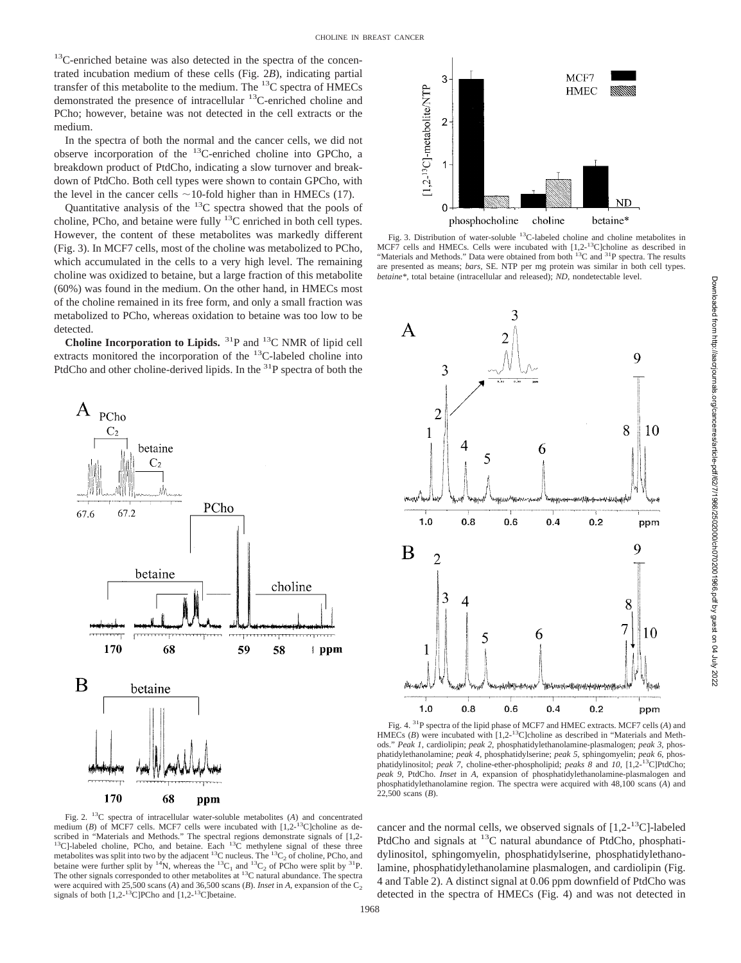<sup>13</sup>C-enriched betaine was also detected in the spectra of the concentrated incubation medium of these cells (Fig. 2*B*), indicating partial transfer of this metabolite to the medium. The  $^{13}$ C spectra of HMECs demonstrated the presence of intracellular 13C-enriched choline and PCho; however, betaine was not detected in the cell extracts or the medium.

In the spectra of both the normal and the cancer cells, we did not observe incorporation of the  $^{13}$ C-enriched choline into GPCho, a breakdown product of PtdCho, indicating a slow turnover and breakdown of PtdCho. Both cell types were shown to contain GPCho, with the level in the cancer cells  $\sim$ 10-fold higher than in HMECs (17).

Quantitative analysis of the  $^{13}$ C spectra showed that the pools of choline, PCho, and betaine were fully  $^{13}$ C enriched in both cell types. However, the content of these metabolites was markedly different (Fig. 3). In MCF7 cells, most of the choline was metabolized to PCho, which accumulated in the cells to a very high level. The remaining choline was oxidized to betaine, but a large fraction of this metabolite (60%) was found in the medium. On the other hand, in HMECs most of the choline remained in its free form, and only a small fraction was metabolized to PCho, whereas oxidation to betaine was too low to be detected.

**Choline Incorporation to Lipids.** 31P and 13C NMR of lipid cell extracts monitored the incorporation of the <sup>13</sup>C-labeled choline into PtdCho and other choline-derived lipids. In the  ${}^{31}P$  spectra of both the





Fig. 3. Distribution of water-soluble 13C-labeled choline and choline metabolites in MCF7 cells and HMECs. Cells were incubated with [1,2-<sup>13</sup>C]choline as described in "Materials and Methods." Data were obtained from both <sup>13</sup>C and <sup>31</sup>P spectra. The results are presented as means; *bars,* SE. NTP per mg protein was similar in both cell types. *betaine\*,* total betaine (intracellular and released); *ND,* nondetectable level.



Fig. 4. 31P spectra of the lipid phase of MCF7 and HMEC extracts. MCF7 cells (*A*) and HMECs (*B*) were incubated with [1,2-<sup>13</sup>C]choline as described in "Materials and Methods." *Peak 1*, cardiolipin; *peak 2*, phosphatidylethanolamine-plasmalogen; *peak 3*, phosphatidylethanolamine; *peak 4,* phosphatidylserine; *peak 5*, sphingomyelin; *peak 6*, phosphatidylinositol; *peak 7*, choline-ether-phospholipid; *peaks 8* and *10*, [1,2-13C]PtdCho; *peak 9*, PtdCho. *Inset* in *A,* expansion of phosphatidylethanolamine-plasmalogen and phosphatidylethanolamine region. The spectra were acquired with 48,100 scans (*A*) and 22,500 scans (*B*).

Fig. 2. 13C spectra of intracellular water-soluble metabolites (*A*) and concentrated medium (*B*) of MCF7 cells. MCF7 cells were incubated with [1,2-<sup>13</sup>C]choline as described in "Materials and Methods." The spectral regions demonstrate signals of [1,2- $^{13}$ C]-labeled choline, PCho, and betaine. Each  $^{13}$ C methylene signal of these three metabolites was split into two by the adjacent  $^{13}$ C nucleus. The  $^{13}C_2$  of choline, PCho, and betaine were further split by <sup>14</sup>N, whereas the <sup>13</sup>C<sub>1</sub> and <sup>13</sup>C<sub>2</sub> of PCho were split by <sup>31</sup>P. The other signals corresponded to other metabolites at <sup>13</sup>C natural abundance. The spectra were acquired with 25,500 scans (*A*) and 36,500 scans (*B*). *Inset* in *A*, expansion of the  $C_2$ signals of both  $[1,2^{-13}C]$ PCho and  $[1,2^{-13}C]$ betaine.

cancer and the normal cells, we observed signals of  $[1,2^{-13}C]$ -labeled PtdCho and signals at  ${}^{13}$ C natural abundance of PtdCho, phosphatidylinositol, sphingomyelin, phosphatidylserine, phosphatidylethanolamine, phosphatidylethanolamine plasmalogen, and cardiolipin (Fig. 4 and Table 2). A distinct signal at 0.06 ppm downfield of PtdCho was detected in the spectra of HMECs (Fig. 4) and was not detected in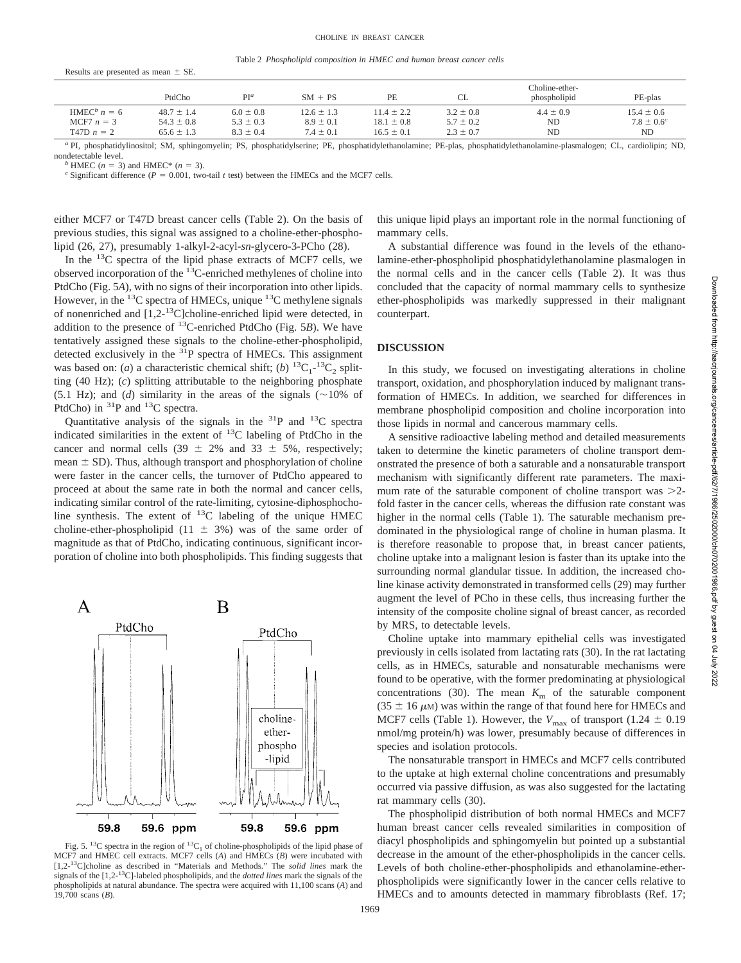Table 2 *Phospholipid composition in HMEC and human breast cancer cells*

|                           | PtdCho         | PI <sup>a</sup> | $SM + PS$      | PE             |               | Choline-ether-<br>phospholipid | PE-plas         |
|---------------------------|----------------|-----------------|----------------|----------------|---------------|--------------------------------|-----------------|
| HMEC <sup>b</sup> $n = 6$ | $48.7 \pm 1.4$ | $6.0 \pm 0.8$   | $12.6 \pm 1.3$ | $11.4 \pm 2.2$ | $3.2 \pm 0.8$ | $4.4 \pm 0.9$                  | $15.4 \pm 0.6$  |
| MCF7 $n = 3$              | $54.3 \pm 0.8$ | $5.3 \pm 0.3$   | $8.9 \pm 0.1$  | $18.1 \pm 0.8$ | $5.7 \pm 0.2$ | <b>ND</b>                      | $7.8 \pm 0.6^c$ |
| $T47D n = 2$              | $65.6 \pm 1.3$ | $8.3 \pm 0.4$   | $7.4 \pm 0.1$  | $16.5 \pm 0.1$ | $2.3 \pm 0.7$ | ND                             | N <sub>D</sub>  |

*<sup>a</sup>* PI, phosphatidylinositol; SM, sphingomyelin; PS, phosphatidylserine; PE, phosphatidylethanolamine; PE-plas, phosphatidylethanolamine-plasmalogen; CL, cardiolipin; ND, nondetectable level.<br><sup>*b*</sup> HMEC ( $n = 3$ ) and HMEC\* ( $n = 3$ ).<br><sup>*c*</sup> Significant difference ( $P = 0.001$ , two-tail *t* test) between the HMECs and the MCF7 cells.

Results are presented as mean  $\pm$  SE.

either MCF7 or T47D breast cancer cells (Table 2). On the basis of previous studies, this signal was assigned to a choline-ether-phospholipid (26, 27), presumably 1-alkyl-2-acyl-*sn*-glycero-3-PCho (28).

In the  $^{13}$ C spectra of the lipid phase extracts of MCF7 cells, we observed incorporation of the 13C-enriched methylenes of choline into PtdCho (Fig. 5*A*), with no signs of their incorporation into other lipids. However, in the  $^{13}$ C spectra of HMECs, unique  $^{13}$ C methylene signals of nonenriched and  $[1,2^{-13}C]$ choline-enriched lipid were detected, in addition to the presence of 13C-enriched PtdCho (Fig. 5*B*). We have tentatively assigned these signals to the choline-ether-phospholipid, detected exclusively in the  $31P$  spectra of HMECs. This assignment was based on: (*a*) a characteristic chemical shift; (*b*) <sup>13</sup>C<sub>1</sub>-<sup>13</sup>C<sub>2</sub> splitting (40 Hz); (*c*) splitting attributable to the neighboring phosphate (5.1 Hz); and (*d*) similarity in the areas of the signals  $(\sim 10\%$  of PtdCho) in  ${}^{31}P$  and  ${}^{13}C$  spectra.

Quantitative analysis of the signals in the  ${}^{31}P$  and  ${}^{13}C$  spectra indicated similarities in the extent of 13C labeling of PtdCho in the cancer and normal cells  $(39 \pm 2\%)$  and  $33 \pm 5\%$ , respectively;  $mean \pm SD$ ). Thus, although transport and phosphorylation of choline were faster in the cancer cells, the turnover of PtdCho appeared to proceed at about the same rate in both the normal and cancer cells, indicating similar control of the rate-limiting, cytosine-diphosphocholine synthesis. The extent of <sup>13</sup>C labeling of the unique HMEC choline-ether-phospholipid  $(11 \pm 3\%)$  was of the same order of magnitude as that of PtdCho, indicating continuous, significant incorporation of choline into both phospholipids. This finding suggests that



Fig. 5. <sup>13</sup>C spectra in the region of <sup>13</sup>C<sub>1</sub> of choline-phospholipids of the lipid phase of MCF7 and HMEC cell extracts. MCF7 cells (*A*) and HMECs (*B*) were incubated with [1,2-13C]choline as described in "Materials and Methods." The *solid lines* mark the signals of the [1,2-13C]-labeled phospholipids, and the *dotted lines* mark the signals of the phospholipids at natural abundance. The spectra were acquired with 11,100 scans (*A*) and 19,700 scans (*B*).

this unique lipid plays an important role in the normal functioning of mammary cells.

A substantial difference was found in the levels of the ethanolamine-ether-phospholipid phosphatidylethanolamine plasmalogen in the normal cells and in the cancer cells (Table 2). It was thus concluded that the capacity of normal mammary cells to synthesize ether-phospholipids was markedly suppressed in their malignant counterpart.

# **DISCUSSION**

In this study, we focused on investigating alterations in choline transport, oxidation, and phosphorylation induced by malignant transformation of HMECs. In addition, we searched for differences in membrane phospholipid composition and choline incorporation into those lipids in normal and cancerous mammary cells.

A sensitive radioactive labeling method and detailed measurements taken to determine the kinetic parameters of choline transport demonstrated the presence of both a saturable and a nonsaturable transport mechanism with significantly different rate parameters. The maximum rate of the saturable component of choline transport was  $>2$ fold faster in the cancer cells, whereas the diffusion rate constant was higher in the normal cells (Table 1). The saturable mechanism predominated in the physiological range of choline in human plasma. It is therefore reasonable to propose that, in breast cancer patients, choline uptake into a malignant lesion is faster than its uptake into the surrounding normal glandular tissue. In addition, the increased choline kinase activity demonstrated in transformed cells (29) may further augment the level of PCho in these cells, thus increasing further the intensity of the composite choline signal of breast cancer, as recorded by MRS, to detectable levels.

Choline uptake into mammary epithelial cells was investigated previously in cells isolated from lactating rats (30). In the rat lactating cells, as in HMECs, saturable and nonsaturable mechanisms were found to be operative, with the former predominating at physiological concentrations (30). The mean  $K<sub>m</sub>$  of the saturable component  $(35 \pm 16 \,\mu)$  was within the range of that found here for HMECs and MCF7 cells (Table 1). However, the  $V_{\text{max}}$  of transport (1.24  $\pm$  0.19 nmol/mg protein/h) was lower, presumably because of differences in species and isolation protocols.

The nonsaturable transport in HMECs and MCF7 cells contributed to the uptake at high external choline concentrations and presumably occurred via passive diffusion, as was also suggested for the lactating rat mammary cells (30).

The phospholipid distribution of both normal HMECs and MCF7 human breast cancer cells revealed similarities in composition of diacyl phospholipids and sphingomyelin but pointed up a substantial decrease in the amount of the ether-phospholipids in the cancer cells. Levels of both choline-ether-phospholipids and ethanolamine-etherphospholipids were significantly lower in the cancer cells relative to HMECs and to amounts detected in mammary fibroblasts (Ref. 17;